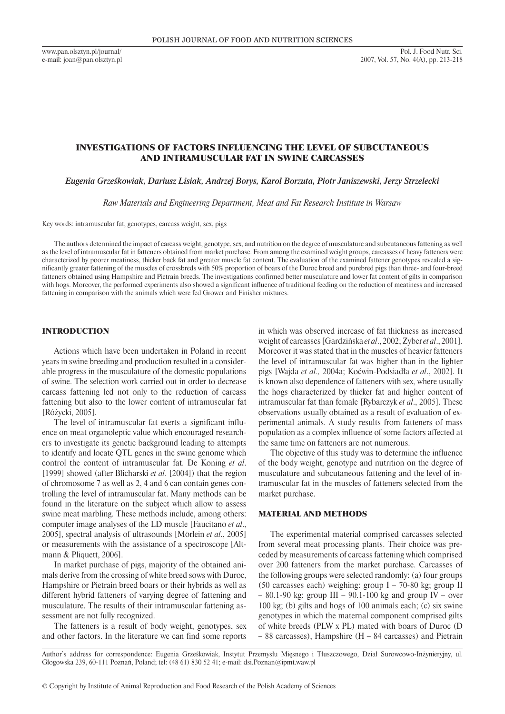www.pan.olsztyn.pl/journal/ e-mail: joan@pan.olsztyn.pl

# INVESTIGATIONS OF FACTORS INFLUENCING THE LEVEL OF SUBCUTANEOUS AND INTRAMUSCULAR FAT IN SWINE CARCASSES

*Eugenia Grześkowiak, Dariusz Lisiak, Andrzej Borys, Karol Borzuta, Piotr Janiszewski, Jerzy Strzelecki*

*Raw Materials and Engineering Department, Meat and Fat Research Institute in Warsaw*

Key words: intramuscular fat, genotypes, carcass weight, sex, pigs

The authors determined the impact of carcass weight, genotype, sex, and nutrition on the degree of musculature and subcutaneous fattening as well as the level of intramuscular fat in fatteners obtained from market purchase. From among the examined weight groups, carcasses of heavy fatteners were characterized by poorer meatiness, thicker back fat and greater muscle fat content. The evaluation of the examined fattener genotypes revealed a significantly greater fattening of the muscles of crossbreds with 50% proportion of boars of the Duroc breed and purebred pigs than three- and four-breed fatteners obtained using Hampshire and Pietrain breeds. The investigations confirmed better musculature and lower fat content of gilts in comparison with hogs. Moreover, the performed experiments also showed a significant influence of traditional feeding on the reduction of meatiness and increased fattening in comparison with the animals which were fed Grower and Finisher mixtures.

### INTRODUCTION

Actions which have been undertaken in Poland in recent years in swine breeding and production resulted in a considerable progress in the musculature of the domestic populations of swine. The selection work carried out in order to decrease carcass fattening led not only to the reduction of carcass fattening but also to the lower content of intramuscular fat [Różycki, 2005].

The level of intramuscular fat exerts a significant influence on meat organoleptic value which encouraged researchers to investigate its genetic background leading to attempts to identify and locate QTL genes in the swine genome which control the content of intramuscular fat. De Koning *et al*. [1999] showed (after Blicharski *et al*. [2004]) that the region of chromosome 7 as well as 2, 4 and 6 can contain genes controlling the level of intramuscular fat. Many methods can be found in the literature on the subject which allow to assess swine meat marbling. These methods include, among others: computer image analyses of the LD muscle [Faucitano *et al*., 2005], spectral analysis of ultrasounds [Mörlein *et al*., 2005] or measurements with the assistance of a spectroscope [Altmann & Pliquett, 2006].

In market purchase of pigs, majority of the obtained animals derive from the crossing of white breed sows with Duroc, Hampshire or Pietrain breed boars or their hybrids as well as different hybrid fatteners of varying degree of fattening and musculature. The results of their intramuscular fattening assessment are not fully recognized.

The fatteners is a result of body weight, genotypes, sex and other factors. In the literature we can find some reports in which was observed increase of fat thickness as increased weight of carcasses [Gardzińska *et al*., 2002; Zyber *et al*., 2001]. Moreover it was stated that in the muscles of heavier fatteners the level of intramuscular fat was higher than in the lighter pigs [Wajda *et al.,* 2004a; Koćwin-Podsiadła *et al*., 2002]. It is known also dependence of fatteners with sex, where usually the hogs characterized by thicker fat and higher content of intramuscular fat than female [Rybarczyk *et al*., 2005]. These observations usually obtained as a result of evaluation of experimental animals. A study results from fatteners of mass population as a complex influence of some factors affected at the same time on fatteners are not numerous.

The objective of this study was to determine the influence of the body weight, genotype and nutrition on the degree of musculature and subcutaneous fattening and the level of intramuscular fat in the muscles of fatteners selected from the market purchase.

## MATERIAL AND METHODS

The experimental material comprised carcasses selected from several meat processing plants. Their choice was preceded by measurements of carcass fattening which comprised over 200 fatteners from the market purchase. Carcasses of the following groups were selected randomly: (a) four groups (50 carcasses each) weighing: group I – 70-80 kg; group II  $-$  80.1-90 kg; group III – 90.1-100 kg and group IV – over 100 kg; (b) gilts and hogs of 100 animals each; (c) six swine genotypes in which the maternal component comprised gilts of white breeds (PLW x PL) mated with boars of Duroc (D – 88 carcasses), Hampshire (H – 84 carcasses) and Pietrain

Author's address for correspondence: Eugenia Grześkowiak, Instytut Przemysłu Mięsnego i Tłuszczowego, Dział Surowcowo-Inżynieryjny, ul. Głogowska 239, 60-111 Poznań, Poland; tel: (48 61) 830 52 41; e-mail: dsi.Poznan@ipmt.waw.pl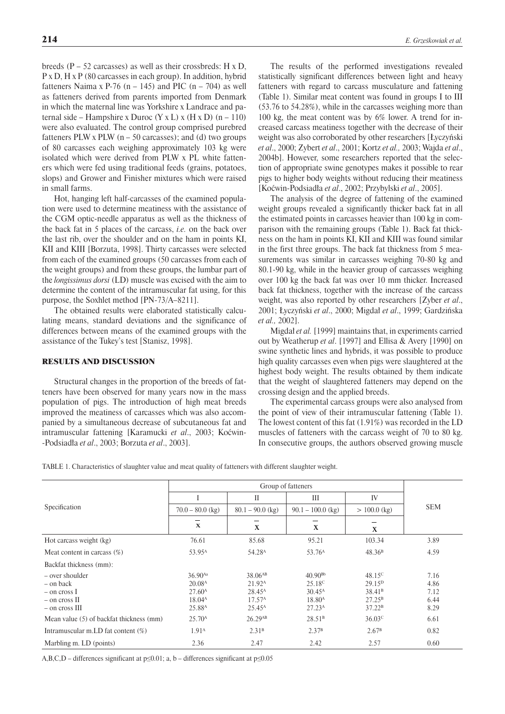breeds  $(P - 52$  carcasses) as well as their crossbreds: H x D, P x D, H x P (80 carcasses in each group). In addition, hybrid fatteners Naima x P-76 (n – 145) and PIC (n – 704) as well as fatteners derived from parents imported from Denmark in which the maternal line was Yorkshire x Landrace and paternal side – Hampshire x Duroc (Y x L) x (H x D)  $(n - 110)$ were also evaluated. The control group comprised purebred fatteners PLW x PLW  $(n - 50$  carcasses); and (d) two groups of 80 carcasses each weighing approximately 103 kg were isolated which were derived from PLW x PL white fatteners which were fed using traditional feeds (grains, potatoes, slops) and Grower and Finisher mixtures which were raised in small farms.

Hot, hanging left half-carcasses of the examined population were used to determine meatiness with the assistance of the CGM optic-needle apparatus as well as the thickness of the back fat in 5 places of the carcass, *i.e.* on the back over the last rib, over the shoulder and on the ham in points KI, KII and KIII [Borzuta, 1998]. Thirty carcasses were selected from each of the examined groups (50 carcasses from each of the weight groups) and from these groups, the lumbar part of the *longissimus dorsi* (LD) muscle was excised with the aim to determine the content of the intramuscular fat using, for this purpose, the Soxhlet method [PN-73/A–8211].

The obtained results were elaborated statistically calculating means, standard deviations and the significance of differences between means of the examined groups with the assistance of the Tukey's test [Stanisz, 1998].

### RESULTS AND DISCUSSION

Structural changes in the proportion of the breeds of fatteners have been observed for many years now in the mass population of pigs. The introduction of high meat breeds improved the meatiness of carcasses which was also accompanied by a simultaneous decrease of subcutaneous fat and intramuscular fattening [Karamucki *et al*., 2003; Koćwin-Podsiadła *et al*., 2003; Borzuta *et al*., 2003].

The results of the performed investigations revealed statistically significant differences between light and heavy fatteners with regard to carcass musculature and fattening (Table 1). Similar meat content was found in groups I to III (53.76 to 54.28%), while in the carcasses weighing more than 100 kg, the meat content was by 6% lower. A trend for increased carcass meatiness together with the decrease of their weight was also corroborated by other researchers [Łyczyński *et al*., 2000; Zybert *et al*., 2001; Kortz *et al.,* 2003; Wajda *et al*., 2004b]. However, some researchers reported that the selection of appropriate swine genotypes makes it possible to rear pigs to higher body weights without reducing their meatiness [Koćwin-Podsiadła *et al*., 2002; Przybylski *et al*., 2005].

The analysis of the degree of fattening of the examined weight groups revealed a significantly thicker back fat in all the estimated points in carcasses heavier than 100 kg in comparison with the remaining groups (Table 1). Back fat thickness on the ham in points KI, KII and KIII was found similar in the first three groups. The back fat thickness from 5 measurements was similar in carcasses weighing 70-80 kg and 80.1-90 kg, while in the heavier group of carcasses weighing over 100 kg the back fat was over 10 mm thicker. Increased back fat thickness, together with the increase of the carcass weight, was also reported by other researchers [Zyber *et al*., 2001; Łyczyński *et al*., 2000; Migdał *et al*., 1999; Gardzińska *et al.,* 2002].

Migdał *et al.* [1999] maintains that, in experiments carried out by Weatherup *et al*. [1997] and Ellisa & Avery [1990] on swine synthetic lines and hybrids, it was possible to produce high quality carcasses even when pigs were slaughtered at the highest body weight. The results obtained by them indicate that the weight of slaughtered fatteners may depend on the crossing design and the applied breeds.

The experimental carcass groups were also analysed from the point of view of their intramuscular fattening (Table 1). The lowest content of this fat (1.91%) was recorded in the LD muscles of fatteners with the carcass weight of 70 to 80 kg. In consecutive groups, the authors observed growing muscle

TABLE 1. Characteristics of slaughter value and meat quality of fatteners with different slaughter weight.

| Specification                                                                         |                                                                                                 |                                                                                                       |                                                                                                      |                                                                                                      |                                      |  |
|---------------------------------------------------------------------------------------|-------------------------------------------------------------------------------------------------|-------------------------------------------------------------------------------------------------------|------------------------------------------------------------------------------------------------------|------------------------------------------------------------------------------------------------------|--------------------------------------|--|
|                                                                                       |                                                                                                 | $\mathbf{I}$                                                                                          | III                                                                                                  | IV                                                                                                   |                                      |  |
|                                                                                       | $70.0 - 80.0$ (kg)                                                                              | $80.1 - 90.0$ (kg)                                                                                    | $90.1 - 100.0$ (kg)                                                                                  | $> 100.0$ (kg)                                                                                       | <b>SEM</b>                           |  |
|                                                                                       | $\mathbf x$                                                                                     | X<br>X<br>X                                                                                           |                                                                                                      |                                                                                                      |                                      |  |
| Hot carcass weight (kg)                                                               | 76.61                                                                                           | 85.68                                                                                                 | 95.21                                                                                                | 103.34                                                                                               | 3.89                                 |  |
| Meat content in carcass $(\%)$                                                        | 53.95 <sup>A</sup>                                                                              | 54.28 <sup>A</sup>                                                                                    | 53.76 <sup>A</sup>                                                                                   | 48.36 <sup>B</sup>                                                                                   | 4.59                                 |  |
| Backfat thickness (mm):                                                               |                                                                                                 |                                                                                                       |                                                                                                      |                                                                                                      |                                      |  |
| - over shoulder<br>– on back<br>$-$ on cross I<br>$-$ on cross II<br>$-$ on cross III | 36.90Aa<br>20.08 <sup>A</sup><br>27.60 <sup>A</sup><br>$18.04^{\text{A}}$<br>25.88 <sup>A</sup> | 38.06 <sup>AB</sup><br>$21.92^{\rm A}$<br>28.45 <sup>A</sup><br>17.57 <sup>A</sup><br>$25.45^{\rm A}$ | $40.90^{Bb}$<br>25.18 <sup>C</sup><br>$30.45^{\text{A}}$<br>18.80 <sup>A</sup><br>27.23 <sup>A</sup> | $48.15^{\circ}$<br>29.15 <sup>D</sup><br>38.41 <sup>B</sup><br>$27.25^{\rm B}$<br>37.22 <sup>B</sup> | 7.16<br>4.86<br>7.12<br>6.44<br>8.29 |  |
| Mean value (5) of backfat thickness (mm)                                              | 25.70 <sup>A</sup>                                                                              | 26.29AB                                                                                               | 28.51 <sup>B</sup>                                                                                   | 36.03 <sup>c</sup>                                                                                   | 6.61                                 |  |
| Intramuscular m.LD fat content $(\%)$                                                 | 1.91 <sup>A</sup>                                                                               | 2.31 <sup>B</sup>                                                                                     | 2.37 <sup>B</sup>                                                                                    | 2.67 <sup>B</sup>                                                                                    | 0.82                                 |  |
| Marbling m. LD (points)                                                               | 2.36                                                                                            | 2.47                                                                                                  | 2.42                                                                                                 | 2.57                                                                                                 | 0.60                                 |  |

A,B,C,D – differences significant at  $p \le 0.01$ ; a, b – differences significant at  $p \le 0.05$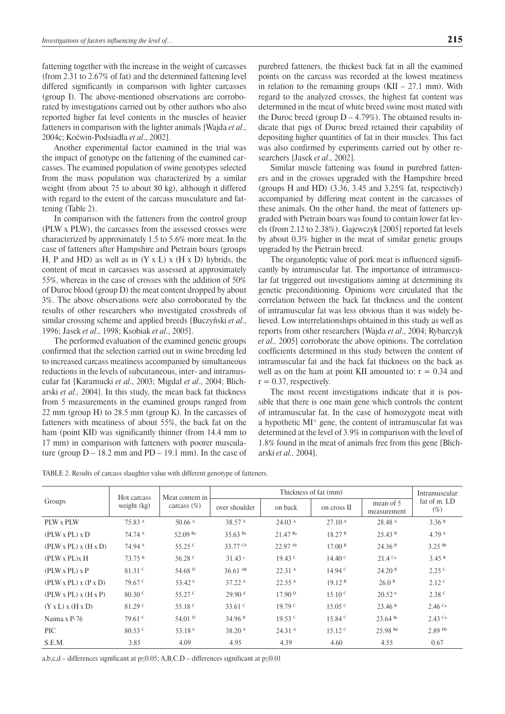fattening together with the increase in the weight of carcasses (from 2.31 to 2.67% of fat) and the determined fattening level differed significantly in comparison with lighter carcasses (group I). The above-mentioned observations are corroborated by investigations carried out by other authors who also reported higher fat level contents in the muscles of heavier fatteners in comparison with the lighter animals [Wajda *et al*., 2004c; Koćwin-Podsiadła *et al*., 2002].

Another experimental factor examined in the trial was the impact of genotype on the fattening of the examined carcasses. The examined population of swine genotypes selected from the mass population was characterized by a similar weight (from about 75 to about 80 kg), although it differed with regard to the extent of the carcass musculature and fattening (Table 2).

In comparison with the fatteners from the control group (PLW x PLW), the carcasses from the assessed crosses were characterized by approximately 1.5 to 5.6% more meat. In the case of fatteners after Hampshire and Pietrain boars (groups H, P and HD) as well as in  $(Y \times L) \times (H \times D)$  hybrids, the content of meat in carcasses was assessed at approximately 55%, whereas in the case of crosses with the addition of 50% of Duroc blood (group D) the meat content dropped by about 3%. The above observations were also corroborated by the results of other researchers who investigated crossbreds of similar crossing scheme and applied breeds [Buczyński *et al*., 1996; Jasek *et al*., 1998; Ksobiak *et al*., 2005].

The performed evaluation of the examined genetic groups confirmed that the selection carried out in swine breeding led to increased carcass meatiness accompanied by simultaneous reductions in the levels of subcutaneous, inter- and intramuscular fat [Karamucki *et al*., 2003; Migdał *et al*., 2004; Blicharski *et al.,* 2004]. In this study, the mean back fat thickness from 5 measurements in the examined groups ranged from 22 mm (group H) to 28.5 mm (group K). In the carcasses of fatteners with meatiness of about 55%, the back fat on the ham (point KII) was significantly thinner (from 14.4 mm to 17 mm) in comparison with fatteners with poorer musculature (group  $D - 18.2$  mm and  $PD - 19.1$  mm). In the case of

purebred fatteners, the thickest back fat in all the examined points on the carcass was recorded at the lowest meatiness in relation to the remaining groups  $(KII - 27.1 \text{ mm})$ . With regard to the analyzed crosses, the highest fat content was determined in the meat of white breed swine most mated with the Duroc breed (group  $D - 4.79\%$ ). The obtained results indicate that pigs of Duroc breed retained their capability of depositing higher quantities of fat in their muscles. This fact was also confirmed by experiments carried out by other researchers [Jasek *et al*., 2002].

Similar muscle fattening was found in purebred fatteners and in the crosses upgraded with the Hampshire breed (groups H and HD) (3.36, 3.45 and 3.25% fat, respectively) accompanied by differing meat content in the carcasses of these animals. On the other hand, the meat of fatteners upgraded with Pietrain boars was found to contain lower fat levels (from 2.12 to 2.38%). Gajewczyk [2005] reported fat levels by about 0.3% higher in the meat of similar genetic groups upgraded by the Pietrain breed.

The organoleptic value of pork meat is influenced significantly by intramuscular fat. The importance of intramuscular fat triggered out investigations aiming at determining its genetic preconditioning. Opinions were circulated that the correlation between the back fat thickness and the content of intramuscular fat was less obvious than it was widely believed. Low interrelationships obtained in this study as well as reports from other researchers [Wajda *et al*., 2004; Rybarczyk *et al.,* 2005] corroborate the above opinions. The correlation coefficients determined in this study between the content of intramuscular fat and the back fat thickness on the back as well as on the ham at point KII amounted to:  $r = 0.34$  and  $r = 0.37$ , respectively.

The most recent investigations indicate that it is possible that there is one main gene which controls the content of intramuscular fat. In the case of homozygote meat with a hypothetic MI+ gene, the content of intramuscular fat was determined at the level of 3.9% in comparison with the level of 1.8% found in the meat of animals free from this gene [Blicharski *et al.,* 2004].

TABLE 2. Results of carcass slaughter value with different genotype of fatteners.

| Hot carcass<br>Groups<br>weight (kg)  |                    | Meat content in<br>carcass $(\%)$ |                       | Intramuscular            |                          |                          |                        |
|---------------------------------------|--------------------|-----------------------------------|-----------------------|--------------------------|--------------------------|--------------------------|------------------------|
|                                       |                    |                                   | over shoulder         | on back                  | on cross II              | mean of 5<br>measurement | fat of m. LD<br>$(\%)$ |
| PLW x PLW                             | 75.83 <sup>A</sup> | 50.66 $^{A}$                      | 38.57 <sup>A</sup>    | 24.03 <sup>A</sup>       | 27.10 <sup>A</sup>       | 28.48 <sup>A</sup>       | 3.36 <sup>B</sup>      |
| $(PLW \times PL) \times D$            | 74.74 A            | 52.09 Ba                          | $35.63$ <sup>Ba</sup> | $21.47$ <sup>Ba</sup>    | 18.27 <sup>B</sup>       | 25.43 B                  | 4.79 <sup>A</sup>      |
| $(PLW \times PL) \times (H \times D)$ | 74.94 A            | 55.25 $C$                         | 33.77 Cb              | 22.97 Ab                 | 17.00 <sup>B</sup>       | 24.36 <sup>B</sup>       | 3.25 Bb                |
| $(PLW \times PL) \times H$            | 73.75B             | 56.28 <sup>c</sup>                | $31.43$ $\circ$       | $19.43 \text{ }^{\circ}$ | $14.40 \text{ C}$        | $21.4$ Ca                | 3.45 <sup>B</sup>      |
| $(PLW \times PL) \times P$            | $81.31 \text{ C}$  | 54.68 <sup>D</sup>                | $36.61$ <sup>AB</sup> | 22.31 <sup>A</sup>       | 14.94 <sup>C</sup>       | 24.20 <sup>B</sup>       | 2.25 <sup>c</sup>      |
| $(PLW \times PL) \times (P \times D)$ | $79.67$ C          | 53.42 $^{\rm b}$                  | $37.22^{\text{A}}$    | $22.55^{\text{A}}$       | 19.12 <sup>B</sup>       | 26.0 <sup>B</sup>        | 2.12 <sup>c</sup>      |
| $(PLW \times PL) \times (H \times P)$ | $80.30 \text{ C}$  | 55.27 <sup>c</sup>                | 29.90 <sup>d</sup>    | 17.90P                   | 15.10 <sup>C</sup>       | 20.52 <sup>b</sup>       | 2.38 <sup>c</sup>      |
| $(Y \times L) \times (H \times D)$    | 81.29 <sup>C</sup> | 55.18 <sup>c</sup>                | 33.61 $\degree$       | 19.79 <sup>c</sup>       | 15.05 <sup>C</sup>       | 23.46 <sup>B</sup>       | $2.46$ Ca              |
| Naima x P-76                          | $79.61 \text{ C}$  | 54.01 <sup>D</sup>                | 34.96 <sup>B</sup>    | $19.53 \text{ }^{\circ}$ | 15.84 <sup>C</sup>       | $23.64$ Bc               | $2.43$ Ca              |
| <b>PIC</b>                            | $80.53 \text{ C}$  | 53.18 $b$                         | 38.20 <sup>A</sup>    | 24.31 <sup>A</sup>       | $15.12 \text{ }^{\circ}$ | 25.98 Bd                 | $2.89$ Db              |
| S.E.M.                                | 3.85               | 4.09                              | 4.95                  | 4.39                     | 4.60                     | 4.55                     | 0.67                   |

a,b,c,d – differences significant at p≤0.05; A,B,C,D – differences significant at p≤0.01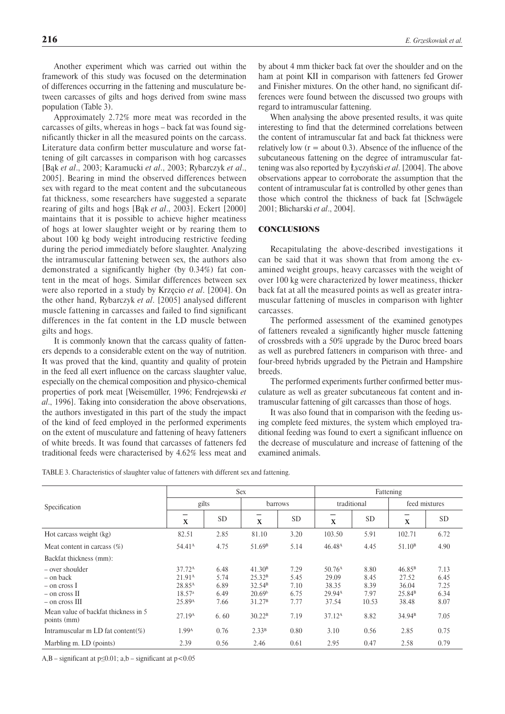Another experiment which was carried out within the framework of this study was focused on the determination of differences occurring in the fattening and musculature between carcasses of gilts and hogs derived from swine mass population (Table 3).

Approximately 2.72% more meat was recorded in the carcasses of gilts, whereas in hogs – back fat was found significantly thicker in all the measured points on the carcass. Literature data confirm better musculature and worse fattening of gilt carcasses in comparison with hog carcasses [Bąk *et al*., 2003; Karamucki *et al*., 2003; Rybarczyk *et al*., 2005]. Bearing in mind the observed differences between sex with regard to the meat content and the subcutaneous fat thickness, some researchers have suggested a separate rearing of gilts and hogs [Bąk *et al*., 2003]. Eckert [2000] maintains that it is possible to achieve higher meatiness of hogs at lower slaughter weight or by rearing them to about 100 kg body weight introducing restrictive feeding during the period immediately before slaughter. Analyzing the intramuscular fattening between sex, the authors also demonstrated a significantly higher (by 0.34%) fat content in the meat of hogs. Similar differences between sex were also reported in a study by Krzęcio *et al*. [2004]. On the other hand, Rybarczyk *et al*. [2005] analysed different muscle fattening in carcasses and failed to find significant differences in the fat content in the LD muscle between gilts and hogs.

It is commonly known that the carcass quality of fatteners depends to a considerable extent on the way of nutrition. It was proved that the kind, quantity and quality of protein in the feed all exert influence on the carcass slaughter value, especially on the chemical composition and physico-chemical properties of pork meat [Weisemüller, 1996; Fendrejewski *et al*., 1996]. Taking into consideration the above observations, the authors investigated in this part of the study the impact of the kind of feed employed in the performed experiments on the extent of musculature and fattening of heavy fatteners of white breeds. It was found that carcasses of fatteners fed traditional feeds were characterised by 4.62% less meat and by about 4 mm thicker back fat over the shoulder and on the ham at point KII in comparison with fatteners fed Grower and Finisher mixtures. On the other hand, no significant differences were found between the discussed two groups with regard to intramuscular fattening.

When analysing the above presented results, it was quite interesting to find that the determined correlations between the content of intramuscular fat and back fat thickness were relatively low  $(r =$  about 0.3). Absence of the influence of the subcutaneous fattening on the degree of intramuscular fattening was also reported by Łyczyński *et al*. [2004]. The above observations appear to corroborate the assumption that the content of intramuscular fat is controlled by other genes than those which control the thickness of back fat [Schwägele 2001; Blicharski *et al*., 2004].

# **CONCLUSIONS**

Recapitulating the above-described investigations it can be said that it was shown that from among the examined weight groups, heavy carcasses with the weight of over 100 kg were characterized by lower meatiness, thicker back fat at all the measured points as well as greater intramuscular fattening of muscles in comparison with lighter carcasses.

The performed assessment of the examined genotypes of fatteners revealed a significantly higher muscle fattening of crossbreds with a 50% upgrade by the Duroc breed boars as well as purebred fatteners in comparison with three- and four-breed hybrids upgraded by the Pietrain and Hampshire breeds.

The performed experiments further confirmed better musculature as well as greater subcutaneous fat content and intramuscular fattening of gilt carcasses than those of hogs.

It was also found that in comparison with the feeding using complete feed mixtures, the system which employed traditional feeding was found to exert a significant influence on the decrease of musculature and increase of fattening of the examined animals.

TABLE 3. Characteristics of slaughter value of fatteners with different sex and fattening.

|                                                                                        | <b>Sex</b>                                                                                                 |                                      |                                                                                                            |                                      | Fattening                                                           |                                       |                                                                     |                                      |
|----------------------------------------------------------------------------------------|------------------------------------------------------------------------------------------------------------|--------------------------------------|------------------------------------------------------------------------------------------------------------|--------------------------------------|---------------------------------------------------------------------|---------------------------------------|---------------------------------------------------------------------|--------------------------------------|
| Specification                                                                          | gilts                                                                                                      |                                      | barrows                                                                                                    |                                      | traditional                                                         |                                       | feed mixtures                                                       |                                      |
|                                                                                        | X                                                                                                          | <b>SD</b>                            | X                                                                                                          | <b>SD</b>                            | X                                                                   | <b>SD</b>                             | $\mathbf X$                                                         | <b>SD</b>                            |
| Hot carcass weight (kg)                                                                | 82.51                                                                                                      | 2.85                                 | 81.10                                                                                                      | 3.20                                 | 103.50                                                              | 5.91                                  | 102.71                                                              | 6.72                                 |
| Meat content in carcass $(\%)$                                                         | $54.41^{\rm A}$                                                                                            | 4.75                                 | 51.69 <sup>B</sup>                                                                                         | 5.14                                 | 46.48 <sup>A</sup>                                                  | 4.45                                  | 51.10 <sup>B</sup>                                                  | 4.90                                 |
| Backfat thickness (mm):                                                                |                                                                                                            |                                      |                                                                                                            |                                      |                                                                     |                                       |                                                                     |                                      |
| – over shoulder<br>– on back<br>– on cross 1<br>$-$ on cross $\Pi$<br>$-$ on cross III | 37.72 <sup>A</sup><br>21.91 <sup>A</sup><br>28.85 <sup>A</sup><br>18.57 <sup>a</sup><br>25.89 <sup>A</sup> | 6.48<br>5.74<br>6.89<br>6.49<br>7.66 | 41.30 <sup>B</sup><br>25.32 <sup>B</sup><br>32.54 <sup>B</sup><br>20.69 <sup>b</sup><br>31.27 <sup>B</sup> | 7.29<br>5.45<br>7.10<br>6.75<br>7.77 | 50.76 <sup>A</sup><br>29.09<br>38.35<br>29.94 <sup>A</sup><br>37.54 | 8.80<br>8.45<br>8.39<br>7.97<br>10.53 | 46.85 <sup>B</sup><br>27.52<br>36.04<br>25.84 <sup>B</sup><br>38.48 | 7.13<br>6.45<br>7.25<br>6.34<br>8.07 |
| Mean value of backfat thickness in 5<br>points (mm)                                    | 27.19 <sup>A</sup>                                                                                         | 6.60                                 | 30.22 <sup>B</sup>                                                                                         | 7.19                                 | 37.12 <sup>A</sup>                                                  | 8.82                                  | 34.94 <sup>B</sup>                                                  | 7.05                                 |
| Intramuscular m LD fat content(%)                                                      | 1.99 <sup>A</sup>                                                                                          | 0.76                                 | 2.33 <sup>B</sup>                                                                                          | 0.80                                 | 3.10                                                                | 0.56                                  | 2.85                                                                | 0.75                                 |
| Marbling m. LD (points)                                                                | 2.39                                                                                                       | 0.56                                 | 2.46                                                                                                       | 0.61                                 | 2.95                                                                | 0.47                                  | 2.58                                                                | 0.79                                 |

A,B – significant at  $p \le 0.01$ ; a,b – significant at  $p < 0.05$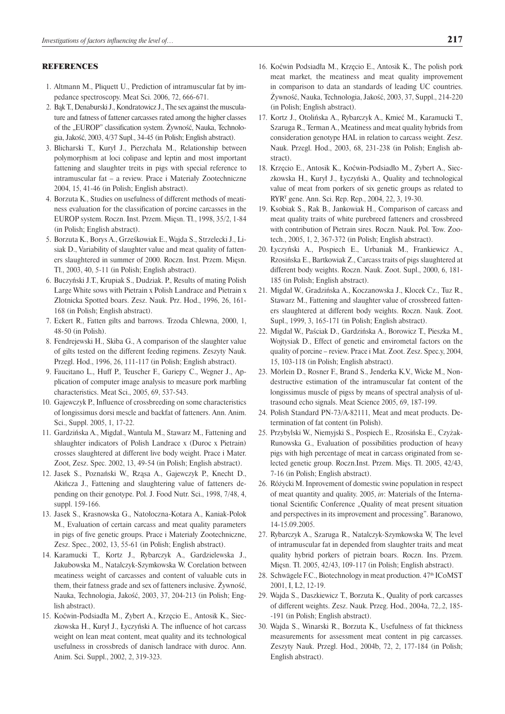### REFERENCES

- 1. Altmann M., Pliquett U., Prediction of intramuscular fat by impedance spectroscopy. Meat Sci. 2006, 72, 666-671.
- 2. Bąk T., Denaburski J., Kondratowicz J., The sex against the musculature and fatness of fattener carcasses rated among the higher classes of the "EUROP" classification system. Zywność, Nauka, Technologia, Jakość, 2003, 4/37 Supl., 34-45 (in Polish; English abstract).
- 3. Blicharski T., Kurył J., Pierzchała M., Relationship between polymorphism at loci colipase and leptin and most important fattening and slaughter treits in pigs with special reference to intramuscular fat – a review. Prace i Materiały Zootechniczne 2004, 15, 41-46 (in Polish; English abstract).
- 4. Borzuta K., Studies on usefulness of different methods of meatiness evaluation for the classification of porcine carcasses in the EUROP system. Roczn. Inst. Przem. Mięsn. Tł., 1998, 35/2, 1-84 (in Polish; English abstract).
- 5. Borzuta K., Borys A., Grześkowiak E., Wajda S., Strzelecki J., Lisiak D., Variability of slaughter value and meat quality of fatteners slaughtered in summer of 2000. Roczn. Inst. Przem. Mięsn. Tł., 2003, 40, 5-11 (in Polish; English abstract).
- 6. Buczyński J.T., Krupiak S., Dudziak. P., Results of mating Polish Large White sows with Pietrain x Polish Landrace and Pietrain x Złotnicka Spotted boars. Zesz. Nauk. Prz. Hod., 1996, 26, 161- 168 (in Polish; English abstract).
- 7. Eckert R., Fatten gilts and barrows. Trzoda Chlewna, 2000, 1, 48-50 (in Polish).
- 8. Fendrejewski H., Skiba G., A comparison of the slaughter value of gilts tested on the different feeding regimens. Zeszyty Nauk. Przegl. Hod., 1996, 26, 111-117 (in Polish; English abstract).
- 9. Faucitano L., Huff P., Teuscher F., Gariepy C., Wegner J., Application of computer image analysis to measure pork marbling characteristics. Meat Sci., 2005, 69, 537-543.
- 10. Gajewczyk P., Influence of crossbreeding on some characteristics of longissimus dorsi mescle and backfat of fatteners. Ann. Anim. Sci., Suppl. 2005, 1, 17-22.
- 11. Gardzińska A., Migdał., Wantula M., Stawarz M., Fattening and shlaughter indicators of Polish Landrace x (Duroc x Pietrain) crosses slaughtered at different live body weight. Prace i Mater. Zoot, Zesz. Spec. 2002, 13, 49-54 (in Polish; English abstract).
- 12. Jasek S., Poznański W., Rząsa A., Gajewczyk P., Knecht D., Akińcza J., Fattening and slaughtering value of fatteners depending on their genotype. Pol. J. Food Nutr. Sci., 1998, 7/48, 4, suppl. 159-166.
- 13. Jasek S., Krasnowska G., Natołoczna-Kotara A., Kaniak-Polok M., Evaluation of certain carcass and meat quality parameters in pigs of five genetic groups. Prace i Materiały Zootechniczne, Zesz. Spec., 2002, 13, 55-61 (in Polish; English abstract).
- 14. Karamucki T., Kortz J., Rybarczyk A., Gardzielewska J., Jakubowska M., Natalczyk-Szymkowska W. Corelation between meatiness weight of carcasses and content of valuable cuts in them, their fatness grade and sex of fatteners inclusive. Żywność, Nauka, Technologia, Jakość, 2003, 37, 204-213 (in Polish; English abstract).
- 15. Koćwin-Podsiadła M., Zybert A., Krzęcio E., Antosik K., Sieczkowska H., Kurył J., Łyczyński A. The influence of hot carcass weight on lean meat content, meat quality and its technological usefulness in crossbreds of danisch landrace with duroc. Ann. Anim. Sci. Suppl., 2002, 2, 319-323.
- 16. Koćwin Podsiadła M., Krzęcio E., Antosik K., The polish pork meat market, the meatiness and meat quality improvement in comparison to data an standards of leading UC countries. Żywność, Nauka, Technologia, Jakość, 2003, 37, Suppl., 214-220 (in Polish; English abstract).
- 17. Kortz J., Otolińska A., Rybarczyk A., Kmieć M., Karamucki T., Szaruga R., Terman A., Meatiness and meat quality hybrids from consideration genotype HAL in relation to carcass weight. Zesz. Nauk. Przegl. Hod., 2003, 68, 231-238 (in Polish; English abstract).
- 18. Krzęcio E., Antosik K., Koćwin-Podsiadło M., Zybert A., Sieczkowska H., Kurył J., Łyczyński A., Quality and technological value of meat from porkers of six genetic groups as related to RYRT gene. Ann. Sci. Rep. Rep., 2004, 22, 3, 19-30.
- 19. Ksobiak S., Rak B., Jankowiak H., Comparison of carcass and meat quality traits of white purebreed fatteners and crossbreed with contribution of Pietrain sires. Roczn. Nauk. Pol. Tow. Zootech., 2005, 1, 2, 367-372 (in Polish; English abstract).
- 20. Łyczyński A., Pospiech E., Urbaniak M., Frankiewicz A., Rzosińska E., Bartkowiak Z., Carcass traits of pigs slaughtered at different body weights. Roczn. Nauk. Zoot. Supl., 2000, 6, 181- 185 (in Polish; English abstract).
- 21. Migdał W., Gradzińska A., Koczanowska J., Klocek Cz., Tuz R., Stawarz M., Fattening and slaughter value of crossbreed fatteners slaughtered at different body weights. Roczn. Nauk. Zoot. Supl., 1999, 3, 165-171 (in Polish; English abstract).
- 22. Migdał W., Paściak D., Gardzińska A., Borowicz T., Pieszka M., Wojtysiak D., Effect of genetic and envirometal factors on the quality of porcine – review. Prace i Mat. Zoot. Zesz. Spec.y, 2004, 15, 103-118 (in Polish; English abstract).
- 23. Mörlein D., Rosner F., Brand S., Jenderka K.V., Wicke M., Nondestructive estimation of the intramuscular fat content of the longissimus muscle of pigss by means of spectral analysis of ultrasound echo signals. Meat Science 2005, 69, 187-199.
- 24. Polish Standard PN-73/A-82111, Meat and meat products. Determination of fat content (in Polish).
- 25. Przybylski W., Niemyjski S., Pospiech E., Rzosińska E., Czyżak-Runowska G., Evaluation of possibilities production of heavy pigs with high percentage of meat in carcass originated from selected genetic group. Roczn.Inst. Przem. Mięs. Tł. 2005, 42/43, 7-16 (in Polish; English abstract).
- 26. Różycki M. Inprovement of domestic swine population in respect of meat quantity and quality. 2005, *in*: Materials of the International Scientific Conference "Quality of meat present situation and perspectives in its improvement and processing". Baranowo, 14-15.09.2005.
- 27. Rybarczyk A., Szaruga R., Natalczyk-Szymkowska W, The level of intramuscular fat in depended from slaughter traits and meat quality hybrid porkers of pietrain boars. Roczn. Ins. Przem. Mięsn. Tł. 2005, 42/43, 109-117 (in Polish; English abstract).
- 28. Schwägele F.C., Biotechnology in meat production. 47th ICoMST 2001, I, L2, 12-19.
- 29. Wajda S., Daszkiewicz T., Borzuta K., Quality of pork carcasses of different weights. Zesz. Nauk. Przeg. Hod., 2004a, 72,.2, 185-191 (in Polish; English abstract).
- 30. Wajda S., Winarski R., Borzuta K., Usefulness of fat thickness measurements for assessment meat content in pig carcasses. Zeszyty Nauk. Przegl. Hod., 2004b, 72, 2, 177-184 (in Polish; English abstract).